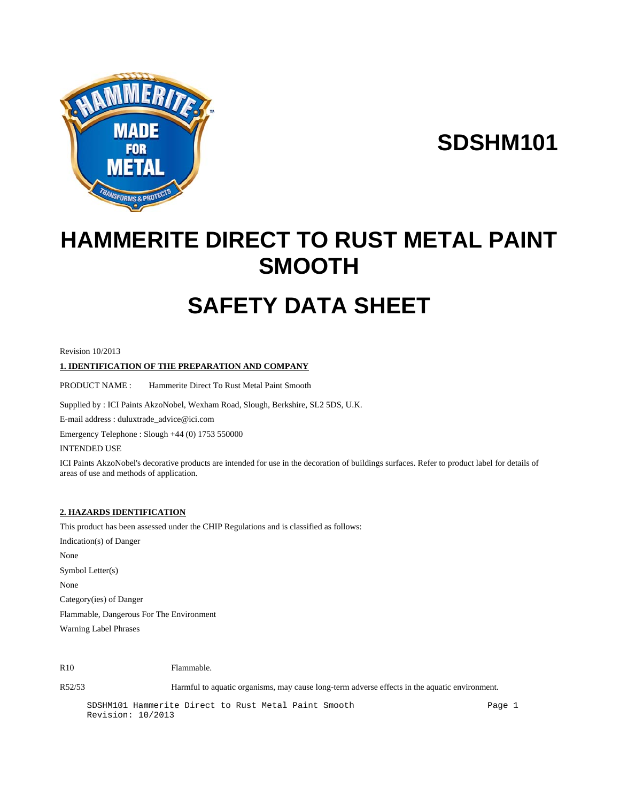

# **SDSHM101**

# **HAMMERITE DIRECT TO RUST METAL PAINT SMOOTH**

# **SAFETY DATA SHEET**

Revision 10/2013

# **1. IDENTIFICATION OF THE PREPARATION AND COMPANY**

PRODUCT NAME : Hammerite Direct To Rust Metal Paint Smooth

Supplied by : ICI Paints AkzoNobel, Wexham Road, Slough, Berkshire, SL2 5DS, U.K.

E-mail address : duluxtrade\_advice@ici.com

Emergency Telephone : Slough +44 (0) 1753 550000

INTENDED USE

ICI Paints AkzoNobel's decorative products are intended for use in the decoration of buildings surfaces. Refer to product label for details of areas of use and methods of application.

# **2. HAZARDS IDENTIFICATION**

This product has been assessed under the CHIP Regulations and is classified as follows:

Indication(s) of Danger None Symbol Letter(s) None Category(ies) of Danger Flammable, Dangerous For The Environment Warning Label Phrases

R<sub>10</sub> Flammable.

R52/53 Harmful to aquatic organisms, may cause long-term adverse effects in the aquatic environment.

SDSHM101 Hammerite Direct to Rust Metal Paint Smooth Page 1 Revision: 10/2013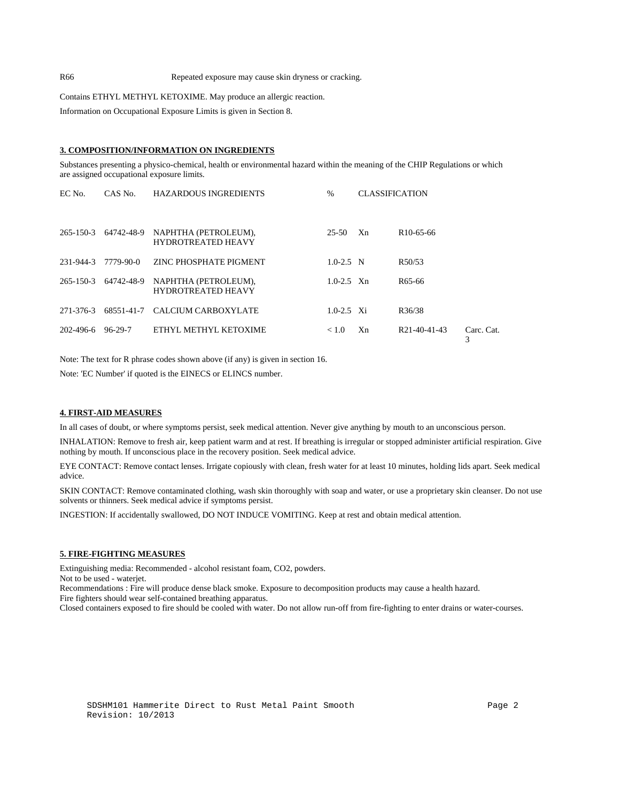Contains ETHYL METHYL KETOXIME. May produce an allergic reaction.

Information on Occupational Exposure Limits is given in Section 8.

#### **3. COMPOSITION/INFORMATION ON INGREDIENTS**

Substances presenting a physico-chemical, health or environmental hazard within the meaning of the CHIP Regulations or which are assigned occupational exposure limits.

| EC No.    | CAS No.              | <b>HAZARDOUS INGREDIENTS</b>                      | $\frac{0}{0}$  | <b>CLASSIFICATION</b> |                        |                 |
|-----------|----------------------|---------------------------------------------------|----------------|-----------------------|------------------------|-----------------|
|           | 265-150-3 64742-48-9 | NAPHTHA (PETROLEUM),<br><b>HYDROTREATED HEAVY</b> | 25-50          | X <sub>n</sub>        | R <sub>10</sub> -65-66 |                 |
| 231-944-3 | 7779-90-0            | ZINC PHOSPHATE PIGMENT                            | $1.0 - 2.5$ N  |                       | R50/53                 |                 |
|           | 265-150-3 64742-48-9 | NAPHTHA (PETROLEUM),<br><b>HYDROTREATED HEAVY</b> | $1.0 - 2.5$ Xn |                       | R <sub>65</sub> -66    |                 |
|           |                      | 271-376-3 68551-41-7 CALCIUM CARBOXYLATE          | $1.0 - 2.5$ Xi |                       | R <sub>36</sub> /38    |                 |
| 202-496-6 | 96-29-7              | ETHYL METHYL KETOXIME                             | < 1.0          | Xn.                   | R21-40-41-43           | Carc. Cat.<br>3 |

Note: The text for R phrase codes shown above (if any) is given in section 16.

Note: 'EC Number' if quoted is the EINECS or ELINCS number.

### **4. FIRST-AID MEASURES**

In all cases of doubt, or where symptoms persist, seek medical attention. Never give anything by mouth to an unconscious person.

INHALATION: Remove to fresh air, keep patient warm and at rest. If breathing is irregular or stopped administer artificial respiration. Give nothing by mouth. If unconscious place in the recovery position. Seek medical advice.

EYE CONTACT: Remove contact lenses. Irrigate copiously with clean, fresh water for at least 10 minutes, holding lids apart. Seek medical advice.

SKIN CONTACT: Remove contaminated clothing, wash skin thoroughly with soap and water, or use a proprietary skin cleanser. Do not use solvents or thinners. Seek medical advice if symptoms persist.

INGESTION: If accidentally swallowed, DO NOT INDUCE VOMITING. Keep at rest and obtain medical attention.

# **5. FIRE-FIGHTING MEASURES**

Extinguishing media: Recommended - alcohol resistant foam, CO2, powders.

Not to be used - waterjet.

Recommendations : Fire will produce dense black smoke. Exposure to decomposition products may cause a health hazard.

Fire fighters should wear self-contained breathing apparatus.

Closed containers exposed to fire should be cooled with water. Do not allow run-off from fire-fighting to enter drains or water-courses.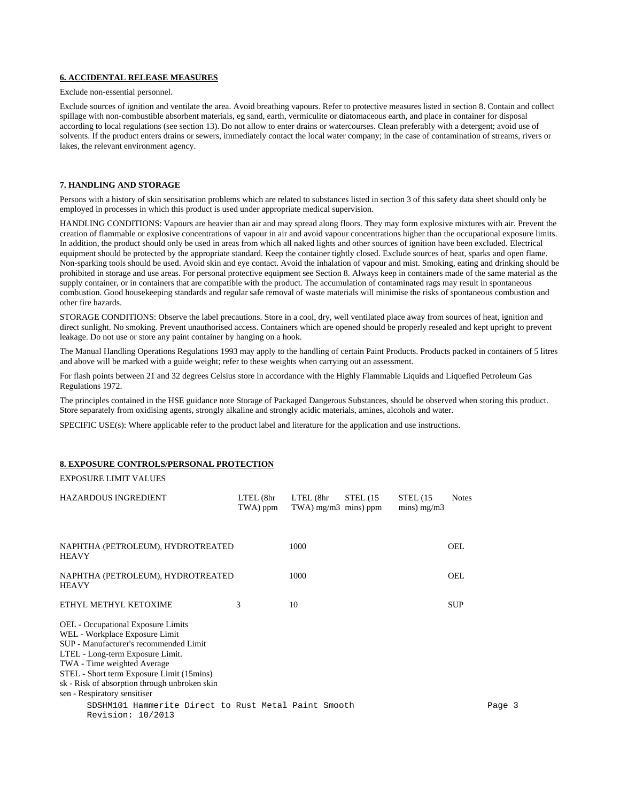### **6. ACCIDENTAL RELEASE MEASURES**

Exclude non-essential personnel.

Exclude sources of ignition and ventilate the area. Avoid breathing vapours. Refer to protective measures listed in section 8. Contain and collect spillage with non-combustible absorbent materials, eg sand, earth, vermiculite or diatomaceous earth, and place in container for disposal according to local regulations (see section 13). Do not allow to enter drains or watercourses. Clean preferably with a detergent; avoid use of solvents. If the product enters drains or sewers, immediately contact the local water company; in the case of contamination of streams, rivers or lakes, the relevant environment agency.

# **7. HANDLING AND STORAGE**

Persons with a history of skin sensitisation problems which are related to substances listed in section 3 of this safety data sheet should only be employed in processes in which this product is used under appropriate medical supervision.

HANDLING CONDITIONS: Vapours are heavier than air and may spread along floors. They may form explosive mixtures with air. Prevent the creation of flammable or explosive concentrations of vapour in air and avoid vapour concentrations higher than the occupational exposure limits. In addition, the product should only be used in areas from which all naked lights and other sources of ignition have been excluded. Electrical equipment should be protected by the appropriate standard. Keep the container tightly closed. Exclude sources of heat, sparks and open flame. Non-sparking tools should be used. Avoid skin and eye contact. Avoid the inhalation of vapour and mist. Smoking, eating and drinking should be prohibited in storage and use areas. For personal protective equipment see Section 8. Always keep in containers made of the same material as the supply container, or in containers that are compatible with the product. The accumulation of contaminated rags may result in spontaneous combustion. Good housekeeping standards and regular safe removal of waste materials will minimise the risks of spontaneous combustion and other fire hazards.

STORAGE CONDITIONS: Observe the label precautions. Store in a cool, dry, well ventilated place away from sources of heat, ignition and direct sunlight. No smoking. Prevent unauthorised access. Containers which are opened should be properly resealed and kept upright to prevent leakage. Do not use or store any paint container by hanging on a hook.

The Manual Handling Operations Regulations 1993 may apply to the handling of certain Paint Products. Products packed in containers of 5 litres and above will be marked with a guide weight; refer to these weights when carrying out an assessment.

For flash points between 21 and 32 degrees Celsius store in accordance with the Highly Flammable Liquids and Liquefied Petroleum Gas Regulations 1972.

The principles contained in the HSE guidance note Storage of Packaged Dangerous Substances, should be observed when storing this product. Store separately from oxidising agents, strongly alkaline and strongly acidic materials, amines, alcohols and water.

SPECIFIC USE(s): Where applicable refer to the product label and literature for the application and use instructions.

#### **8. EXPOSURE CONTROLS/PERSONAL PROTECTION**

EXPOSURE LIMIT VALUES

| <b>HAZARDOUS INGREDIENT</b>                                                                                                                                                                                                                                                                                            | LTEL (8hr<br>TWA) ppm | LTEL (8hr<br>$TWA$ ) mg/m $3$ mins) ppm | STEL(15) | STEL(15)<br>$mins)$ mg/m3 | <b>Notes</b> |        |
|------------------------------------------------------------------------------------------------------------------------------------------------------------------------------------------------------------------------------------------------------------------------------------------------------------------------|-----------------------|-----------------------------------------|----------|---------------------------|--------------|--------|
| NAPHTHA (PETROLEUM), HYDROTREATED<br><b>HEAVY</b>                                                                                                                                                                                                                                                                      |                       | 1000                                    |          |                           | OEL          |        |
| NAPHTHA (PETROLEUM), HYDROTREATED<br><b>HEAVY</b>                                                                                                                                                                                                                                                                      |                       | 1000                                    |          |                           | OEL.         |        |
| ETHYL METHYL KETOXIME                                                                                                                                                                                                                                                                                                  | 3                     | 10                                      |          |                           | <b>SUP</b>   |        |
| <b>OEL</b> - Occupational Exposure Limits<br>WEL - Workplace Exposure Limit<br>SUP - Manufacturer's recommended Limit<br>LTEL - Long-term Exposure Limit.<br>TWA - Time weighted Average<br>STEL - Short term Exposure Limit (15mins)<br>sk - Risk of absorption through unbroken skin<br>sen - Respiratory sensitiser |                       |                                         |          |                           |              |        |
| SDSHM101 Hammerite Direct to Rust Metal Paint Smooth<br>Revision: 10/2013                                                                                                                                                                                                                                              |                       |                                         |          |                           |              | Page 3 |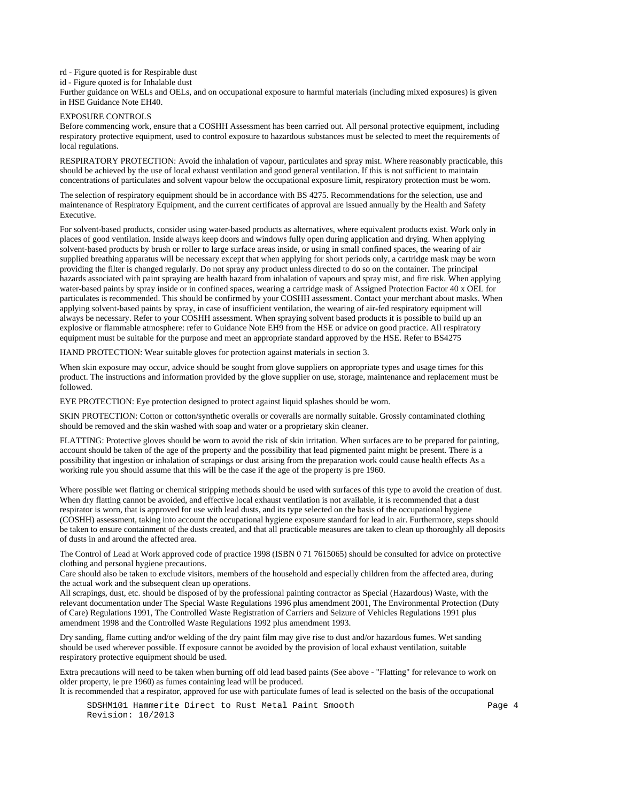rd - Figure quoted is for Respirable dust

id - Figure quoted is for Inhalable dust

Further guidance on WELs and OELs, and on occupational exposure to harmful materials (including mixed exposures) is given in HSE Guidance Note EH40.

# EXPOSURE CONTROLS

Before commencing work, ensure that a COSHH Assessment has been carried out. All personal protective equipment, including respiratory protective equipment, used to control exposure to hazardous substances must be selected to meet the requirements of local regulations.

RESPIRATORY PROTECTION: Avoid the inhalation of vapour, particulates and spray mist. Where reasonably practicable, this should be achieved by the use of local exhaust ventilation and good general ventilation. If this is not sufficient to maintain concentrations of particulates and solvent vapour below the occupational exposure limit, respiratory protection must be worn.

The selection of respiratory equipment should be in accordance with BS 4275. Recommendations for the selection, use and maintenance of Respiratory Equipment, and the current certificates of approval are issued annually by the Health and Safety Executive.

For solvent-based products, consider using water-based products as alternatives, where equivalent products exist. Work only in places of good ventilation. Inside always keep doors and windows fully open during application and drying. When applying solvent-based products by brush or roller to large surface areas inside, or using in small confined spaces, the wearing of air supplied breathing apparatus will be necessary except that when applying for short periods only, a cartridge mask may be worn providing the filter is changed regularly. Do not spray any product unless directed to do so on the container. The principal hazards associated with paint spraying are health hazard from inhalation of vapours and spray mist, and fire risk. When applying water-based paints by spray inside or in confined spaces, wearing a cartridge mask of Assigned Protection Factor 40 x OEL for particulates is recommended. This should be confirmed by your COSHH assessment. Contact your merchant about masks. When applying solvent-based paints by spray, in case of insufficient ventilation, the wearing of air-fed respiratory equipment will always be necessary. Refer to your COSHH assessment. When spraying solvent based products it is possible to build up an explosive or flammable atmosphere: refer to Guidance Note EH9 from the HSE or advice on good practice. All respiratory equipment must be suitable for the purpose and meet an appropriate standard approved by the HSE. Refer to BS4275

HAND PROTECTION: Wear suitable gloves for protection against materials in section 3.

When skin exposure may occur, advice should be sought from glove suppliers on appropriate types and usage times for this product. The instructions and information provided by the glove supplier on use, storage, maintenance and replacement must be followed.

EYE PROTECTION: Eye protection designed to protect against liquid splashes should be worn.

SKIN PROTECTION: Cotton or cotton/synthetic overalls or coveralls are normally suitable. Grossly contaminated clothing should be removed and the skin washed with soap and water or a proprietary skin cleaner.

FLATTING: Protective gloves should be worn to avoid the risk of skin irritation. When surfaces are to be prepared for painting, account should be taken of the age of the property and the possibility that lead pigmented paint might be present. There is a possibility that ingestion or inhalation of scrapings or dust arising from the preparation work could cause health effects As a working rule you should assume that this will be the case if the age of the property is pre 1960.

Where possible wet flatting or chemical stripping methods should be used with surfaces of this type to avoid the creation of dust. When dry flatting cannot be avoided, and effective local exhaust ventilation is not available, it is recommended that a dust respirator is worn, that is approved for use with lead dusts, and its type selected on the basis of the occupational hygiene (COSHH) assessment, taking into account the occupational hygiene exposure standard for lead in air. Furthermore, steps should be taken to ensure containment of the dusts created, and that all practicable measures are taken to clean up thoroughly all deposits of dusts in and around the affected area.

The Control of Lead at Work approved code of practice 1998 (ISBN 0 71 7615065) should be consulted for advice on protective clothing and personal hygiene precautions.

Care should also be taken to exclude visitors, members of the household and especially children from the affected area, during the actual work and the subsequent clean up operations.

All scrapings, dust, etc. should be disposed of by the professional painting contractor as Special (Hazardous) Waste, with the relevant documentation under The Special Waste Regulations 1996 plus amendment 2001, The Environmental Protection (Duty of Care) Regulations 1991, The Controlled Waste Registration of Carriers and Seizure of Vehicles Regulations 1991 plus amendment 1998 and the Controlled Waste Regulations 1992 plus amendment 1993.

Dry sanding, flame cutting and/or welding of the dry paint film may give rise to dust and/or hazardous fumes. Wet sanding should be used wherever possible. If exposure cannot be avoided by the provision of local exhaust ventilation, suitable respiratory protective equipment should be used.

Extra precautions will need to be taken when burning off old lead based paints (See above - "Flatting" for relevance to work on older property, ie pre 1960) as fumes containing lead will be produced.

It is recommended that a respirator, approved for use with particulate fumes of lead is selected on the basis of the occupational

SDSHM101 Hammerite Direct to Rust Metal Paint Smooth Page 4 Revision: 10/2013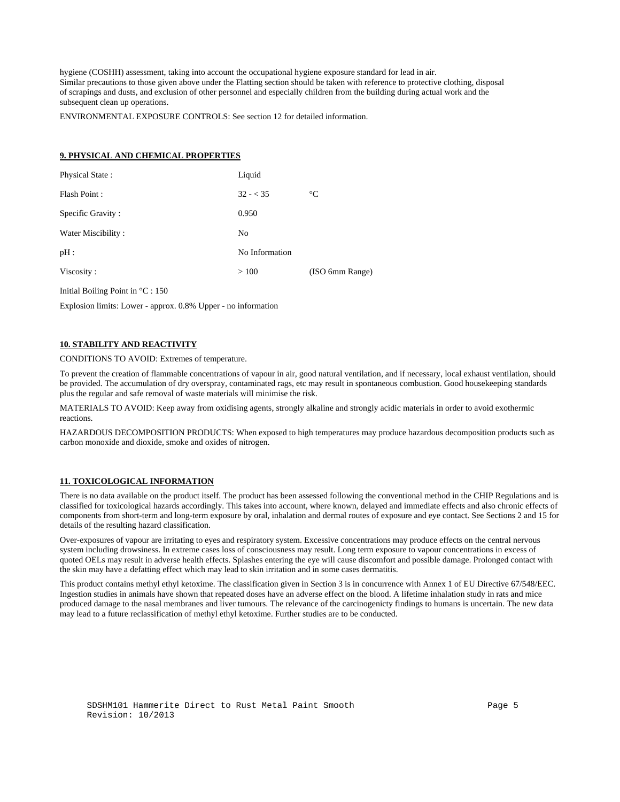hygiene (COSHH) assessment, taking into account the occupational hygiene exposure standard for lead in air. Similar precautions to those given above under the Flatting section should be taken with reference to protective clothing, disposal of scrapings and dusts, and exclusion of other personnel and especially children from the building during actual work and the subsequent clean up operations.

ENVIRONMENTAL EXPOSURE CONTROLS: See section 12 for detailed information.

### **9. PHYSICAL AND CHEMICAL PROPERTIES**

| Physical State:    | Liquid         |                 |
|--------------------|----------------|-----------------|
| Flash Point:       | $32 - 35$      | $\rm ^{\circ}C$ |
| Specific Gravity:  | 0.950          |                 |
| Water Miscibility: | No             |                 |
| pH:                | No Information |                 |
| Viscosity:         | >100           | (ISO 6mm Range) |
|                    |                |                 |

Initial Boiling Point in °C : 150

Explosion limits: Lower - approx. 0.8% Upper - no information

# **10. STABILITY AND REACTIVITY**

CONDITIONS TO AVOID: Extremes of temperature.

To prevent the creation of flammable concentrations of vapour in air, good natural ventilation, and if necessary, local exhaust ventilation, should be provided. The accumulation of dry overspray, contaminated rags, etc may result in spontaneous combustion. Good housekeeping standards plus the regular and safe removal of waste materials will minimise the risk.

MATERIALS TO AVOID: Keep away from oxidising agents, strongly alkaline and strongly acidic materials in order to avoid exothermic reactions.

HAZARDOUS DECOMPOSITION PRODUCTS: When exposed to high temperatures may produce hazardous decomposition products such as carbon monoxide and dioxide, smoke and oxides of nitrogen.

#### **11. TOXICOLOGICAL INFORMATION**

There is no data available on the product itself. The product has been assessed following the conventional method in the CHIP Regulations and is classified for toxicological hazards accordingly. This takes into account, where known, delayed and immediate effects and also chronic effects of components from short-term and long-term exposure by oral, inhalation and dermal routes of exposure and eye contact. See Sections 2 and 15 for details of the resulting hazard classification.

Over-exposures of vapour are irritating to eyes and respiratory system. Excessive concentrations may produce effects on the central nervous system including drowsiness. In extreme cases loss of consciousness may result. Long term exposure to vapour concentrations in excess of quoted OELs may result in adverse health effects. Splashes entering the eye will cause discomfort and possible damage. Prolonged contact with the skin may have a defatting effect which may lead to skin irritation and in some cases dermatitis.

This product contains methyl ethyl ketoxime. The classification given in Section 3 is in concurrence with Annex 1 of EU Directive 67/548/EEC. Ingestion studies in animals have shown that repeated doses have an adverse effect on the blood. A lifetime inhalation study in rats and mice produced damage to the nasal membranes and liver tumours. The relevance of the carcinogenicty findings to humans is uncertain. The new data may lead to a future reclassification of methyl ethyl ketoxime. Further studies are to be conducted.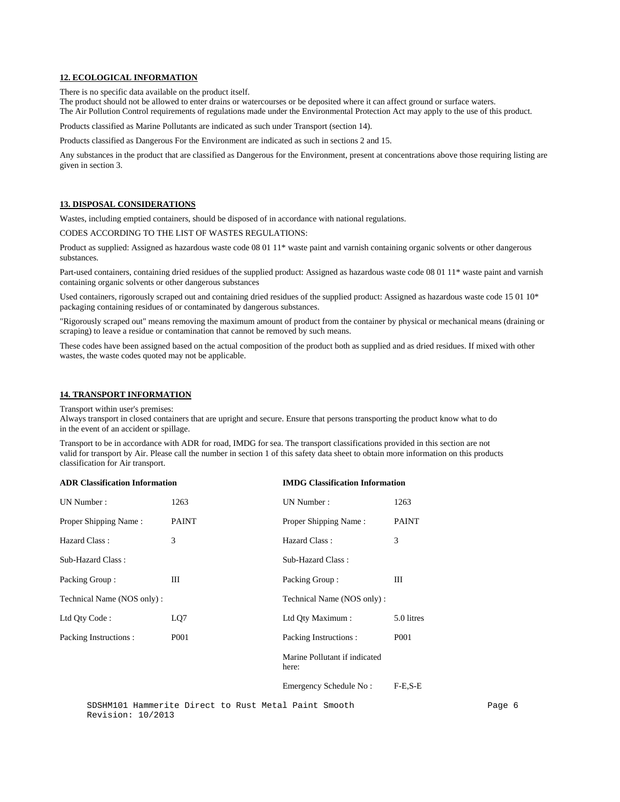#### **12. ECOLOGICAL INFORMATION**

There is no specific data available on the product itself.

The product should not be allowed to enter drains or watercourses or be deposited where it can affect ground or surface waters. The Air Pollution Control requirements of regulations made under the Environmental Protection Act may apply to the use of this product.

Products classified as Marine Pollutants are indicated as such under Transport (section 14).

Products classified as Dangerous For the Environment are indicated as such in sections 2 and 15.

Any substances in the product that are classified as Dangerous for the Environment, present at concentrations above those requiring listing are given in section 3.

#### **13. DISPOSAL CONSIDERATIONS**

Wastes, including emptied containers, should be disposed of in accordance with national regulations.

CODES ACCORDING TO THE LIST OF WASTES REGULATIONS:

Product as supplied: Assigned as hazardous waste code 08 01 11\* waste paint and varnish containing organic solvents or other dangerous substances.

Part-used containers, containing dried residues of the supplied product: Assigned as hazardous waste code 08 01 11\* waste paint and varnish containing organic solvents or other dangerous substances

Used containers, rigorously scraped out and containing dried residues of the supplied product: Assigned as hazardous waste code 15 01 10<sup>\*</sup> packaging containing residues of or contaminated by dangerous substances.

"Rigorously scraped out" means removing the maximum amount of product from the container by physical or mechanical means (draining or scraping) to leave a residue or contamination that cannot be removed by such means.

These codes have been assigned based on the actual composition of the product both as supplied and as dried residues. If mixed with other wastes, the waste codes quoted may not be applicable.

#### **14. TRANSPORT INFORMATION**

Transport within user's premises:

Always transport in closed containers that are upright and secure. Ensure that persons transporting the product know what to do in the event of an accident or spillage.

Transport to be in accordance with ADR for road, IMDG for sea. The transport classifications provided in this section are not valid for transport by Air. Please call the number in section 1 of this safety data sheet to obtain more information on this products classification for Air transport.

| <b>ADR Classification Information</b> |              | <b>IMDG Classification Information</b> |                  |  |
|---------------------------------------|--------------|----------------------------------------|------------------|--|
| UN Number:                            | 1263         | UN Number:                             | 1263             |  |
| Proper Shipping Name:                 | <b>PAINT</b> | Proper Shipping Name:                  | <b>PAINT</b>     |  |
| Hazard Class:                         | 3            | Hazard Class:                          | 3                |  |
| Sub-Hazard Class:                     |              | Sub-Hazard Class:                      |                  |  |
| Packing Group:                        | Ш            | Packing Group:                         | Ш                |  |
| Technical Name (NOS only):            |              | Technical Name (NOS only):             |                  |  |
| Ltd Qty Code:                         | LQ7          | Ltd Qty Maximum :                      | 5.0 litres       |  |
| Packing Instructions :                | P001         | Packing Instructions:                  | P <sub>001</sub> |  |
|                                       |              | Marine Pollutant if indicated<br>here: |                  |  |
|                                       |              | Emergency Schedule No:                 | $F-E.S-E$        |  |

SDSHM101 Hammerite Direct to Rust Metal Paint Smooth Page 6 Revision: 10/2013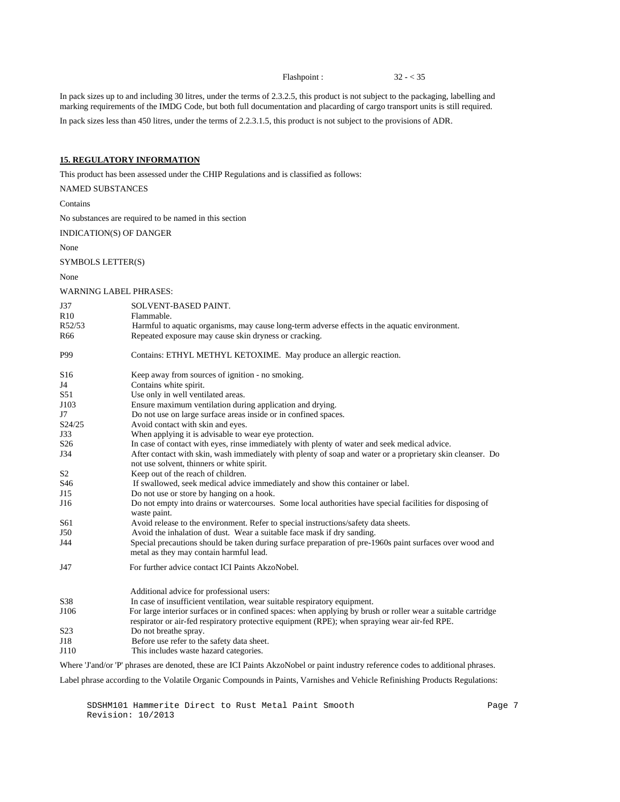Flashpoint : 32 - < 35

In pack sizes up to and including 30 litres, under the terms of 2.3.2.5, this product is not subject to the packaging, labelling and marking requirements of the IMDG Code, but both full documentation and placarding of cargo transport units is still required.

In pack sizes less than 450 litres, under the terms of 2.2.3.1.5, this product is not subject to the provisions of ADR.

# **15. REGULATORY INFORMATION**

This product has been assessed under the CHIP Regulations and is classified as follows:

NAMED SUBSTANCES

Contains

No substances are required to be named in this section

INDICATION(S) OF DANGER

None

### SYMBOLS LETTER(S)

None

WARNING LABEL PHRASES:

| J37<br>R10<br>R52/53<br>R <sub>66</sub> | SOLVENT-BASED PAINT.<br>Flammable.<br>Harmful to aquatic organisms, may cause long-term adverse effects in the aquatic environment.<br>Repeated exposure may cause skin dryness or cracking.                                                                                                |
|-----------------------------------------|---------------------------------------------------------------------------------------------------------------------------------------------------------------------------------------------------------------------------------------------------------------------------------------------|
| P99                                     | Contains: ETHYL METHYL KETOXIME. May produce an allergic reaction.                                                                                                                                                                                                                          |
| S <sub>16</sub><br>J4<br>S51            | Keep away from sources of ignition - no smoking.<br>Contains white spirit.<br>Use only in well ventilated areas.                                                                                                                                                                            |
| J103<br>J7<br>S24/25                    | Ensure maximum ventilation during application and drying.<br>Do not use on large surface areas inside or in confined spaces.<br>Avoid contact with skin and eyes.                                                                                                                           |
| J33<br>S <sub>26</sub><br>J34           | When applying it is advisable to wear eye protection.<br>In case of contact with eyes, rinse immediately with plenty of water and seek medical advice.<br>After contact with skin, wash immediately with plenty of soap and water or a proprietary skin cleanser. Do                        |
| S <sub>2</sub>                          | not use solvent, thinners or white spirit.<br>Keep out of the reach of children.                                                                                                                                                                                                            |
| S46<br>J15                              | If swallowed, seek medical advice immediately and show this container or label.<br>Do not use or store by hanging on a hook.                                                                                                                                                                |
| J16                                     | Do not empty into drains or watercourses. Some local authorities have special facilities for disposing of<br>waste paint.                                                                                                                                                                   |
| S61<br>J50                              | Avoid release to the environment. Refer to special instructions/safety data sheets.<br>Avoid the inhalation of dust. Wear a suitable face mask if dry sanding.                                                                                                                              |
| J44                                     | Special precautions should be taken during surface preparation of pre-1960s paint surfaces over wood and<br>metal as they may contain harmful lead.                                                                                                                                         |
| J47                                     | For further advice contact ICI Paints AkzoNobel.                                                                                                                                                                                                                                            |
|                                         | Additional advice for professional users:                                                                                                                                                                                                                                                   |
| S38<br>J106                             | In case of insufficient ventilation, wear suitable respiratory equipment.<br>For large interior surfaces or in confined spaces: when applying by brush or roller wear a suitable cartridge<br>respirator or air-fed respiratory protective equipment (RPE); when spraying wear air-fed RPE. |
| S <sub>2</sub> 3                        | Do not breathe spray.                                                                                                                                                                                                                                                                       |
| J18<br>J110                             | Before use refer to the safety data sheet.<br>This includes waste hazard categories.                                                                                                                                                                                                        |
|                                         | Where 'J'and/or 'P' phrases are denoted, these are ICI Paints AkzoNobel or paint industry reference codes to additional phrases.                                                                                                                                                            |

Label phrase according to the Volatile Organic Compounds in Paints, Varnishes and Vehicle Refinishing Products Regulations:

SDSHM101 Hammerite Direct to Rust Metal Paint Smooth Page 7 Revision: 10/2013